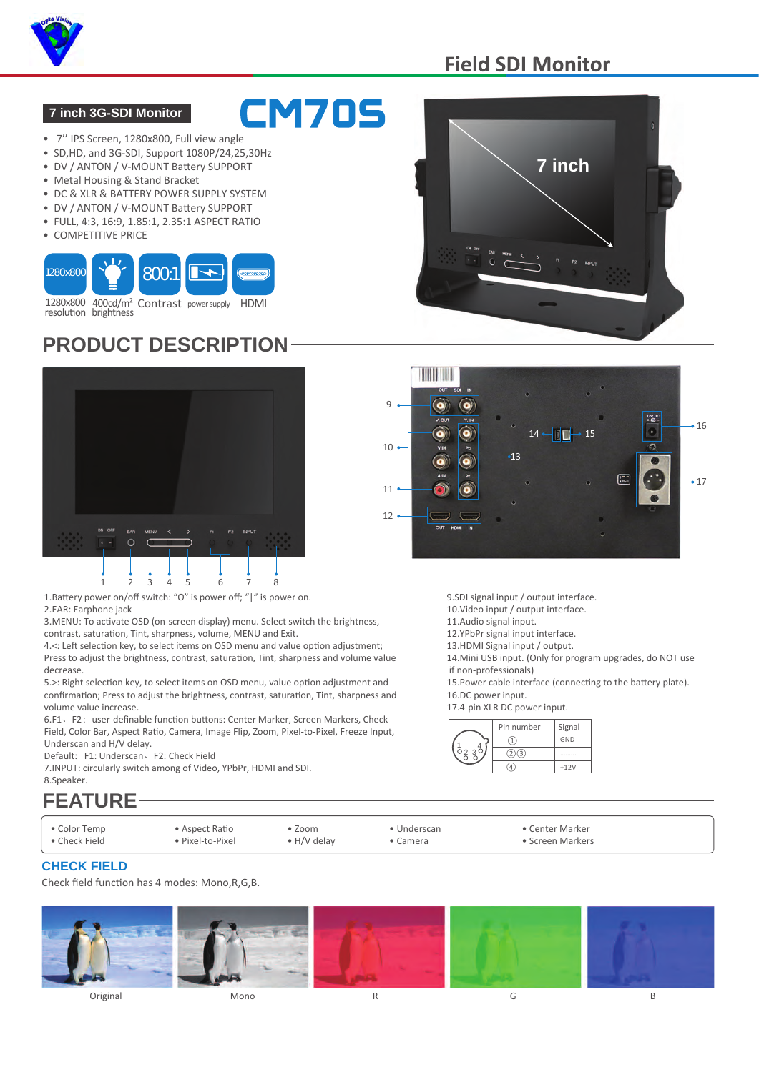

## **Field SDI Monitor**

#### **7 inch 3G-SDI Monitor**

- 7'' IPS Screen, 1280x800, Full view angle
- SD,HD, and 3G-SDI, Support 1080P/24,25,30Hz
- DV / ANTON / V-MOUNT Battery SUPPORT
- Metal Housing & Stand Bracket
- DC & XLR & BATTERY POWER SUPPLY SYSTEM
- DV / ANTON / V-MOUNT Battery SUPPORT
- FULL, 4:3, 16:9, 1.85:1, 2.35:1 ASPECT RATIO
- COMPETITIVE PRICE



resolution brightness

# **PRODUCT DESCRIPTION**



1.Battery power on/off switch: "O" is power off; "|" is power on.

2.EAR: Earphone jack

3.MENU: To activate OSD (on-screen display) menu. Select switch the brightness, contrast, saturation, Tint, sharpness, volume, MENU and Exit.

4.<: Left selection key, to select items on OSD menu and value option adjustment; Press to adjust the brightness, contrast, saturation, Tint, sharpness and volume value decrease.

5.>: Right selection key, to select items on OSD menu, value option adjustment and confirmation; Press to adjust the brightness, contrast, saturation, Tint, sharpness and volume value increase.

6.F1、F2:user-definable function buttons: Center Marker, Screen Markers, Check Field, Color Bar, Aspect Ratio, Camera, Image Flip, Zoom, Pixel-to-Pixel, Freeze Input, Underscan and H/V delay.

Default: F1: Underscan、F2: Check Field

7.INPUT: circularly switch among of Video, YPbPr, HDMI and SDI. 8.Speaker.

# **FEATURE**

- Color Temp
- Check Field

• Aspect Ratio • Pixel-to-Pixel

• Zoom • H/V delay

• Underscan • Camera

• Center Marker

• Screen Markers

#### **CHECK FIELD**

Check field function has 4 modes: Mono,R,G,B.







9.SDI signal input / output interface.

- 10.Video input / output interface.
- 11.Audio signal input.
- 12.YPbPr signal input interface.
- 13.HDMI Signal input / output.
- 14.Mini USB input. (Only for program upgrades, do NOT use

 if non-professionals) 15.Power cable interface (connecting to the battery plate).

16.DC power input.

17.4-pin XLR DC power input.

|  | Pin number | Signal |
|--|------------|--------|
|  |            | GND    |
|  |            |        |
|  |            | $+12V$ |